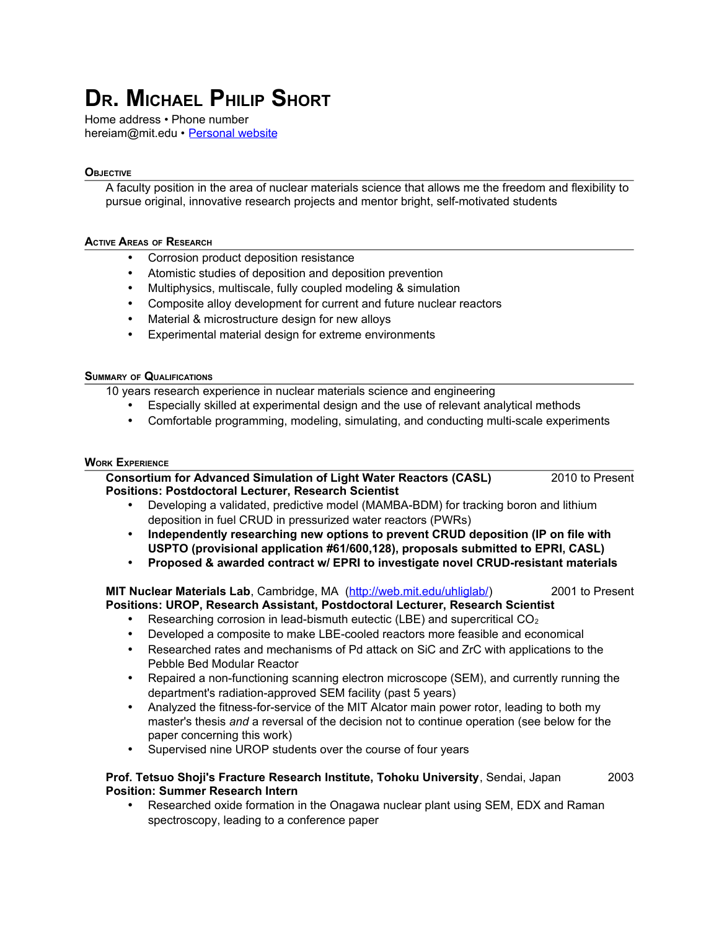# **DR. MICHAEL PHILIP SHORT**

Home address • Phone number hereiam@mit.edu • Personal website

# **OBJECTIVE**

A faculty position in the area of nuclear materials science that allows me the freedom and flexibility to pursue original, innovative research projects and mentor bright, self-motivated students

## **ACTIVE AREAS OF RESEARCH**

- Corrosion product deposition resistance
- Atomistic studies of deposition and deposition prevention
- Multiphysics, multiscale, fully coupled modeling & simulation
- Composite alloy development for current and future nuclear reactors
- Material & microstructure design for new alloys
- Experimental material design for extreme environments

# **SUMMARY OF QUALIFICATIONS**

10 years research experience in nuclear materials science and engineering

- Especially skilled at experimental design and the use of relevant analytical methods
- Comfortable programming, modeling, simulating, and conducting multi-scale experiments

# **WORK EXPERIENCE**

**Consortium for Advanced Simulation of Light Water Reactors (CASL)** 2010 to Present **Positions: Postdoctoral Lecturer, Research Scientist**

- Developing a validated, predictive model (MAMBA-BDM) for tracking boron and lithium deposition in fuel CRUD in pressurized water reactors (PWRs)
- **Independently researching new options to prevent CRUD deposition (IP on file with USPTO (provisional application #61/600,128), proposals submitted to EPRI, CASL)**
- **Proposed & awarded contract w/ EPRI to investigate novel CRUD-resistant materials**

**MIT Nuclear Materials Lab**, Cambridge, MA [\(http://web.mit.edu/uhliglab/\)](http://web.mit.edu/uhliglab/) 2001 to Present **Positions: UROP, Research Assistant, Postdoctoral Lecturer, Research Scientist**

- Researching corrosion in lead-bismuth eutectic (LBE) and supercritical  $CO<sub>2</sub>$
- Developed a composite to make LBE-cooled reactors more feasible and economical
- Researched rates and mechanisms of Pd attack on SiC and ZrC with applications to the Pebble Bed Modular Reactor
- Repaired a non-functioning scanning electron microscope (SEM), and currently running the department's radiation-approved SEM facility (past 5 years)
- Analyzed the fitness-for-service of the MIT Alcator main power rotor, leading to both my master's thesis *and* a reversal of the decision not to continue operation (see below for the paper concerning this work)
- Supervised nine UROP students over the course of four years

# **Prof. Tetsuo Shoji's Fracture Research Institute, Tohoku University**, Sendai, Japan 2003 **Position: Summer Research Intern**

• Researched oxide formation in the Onagawa nuclear plant using SEM, EDX and Raman spectroscopy, leading to a conference paper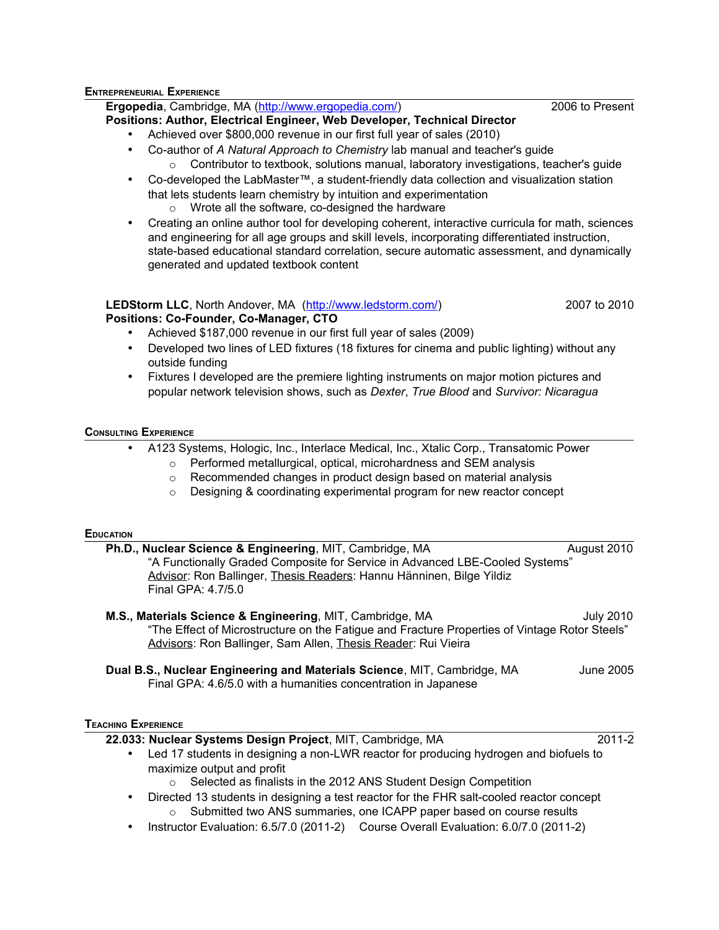#### **ENTREPRENEURIAL EXPERIENCE**

**Ergopedia**, Cambridge, MA [\(http://www.ergopedia.com/\)](http://www.anaturalapproachtochemistry.com/) 2006 to Present

# **Positions: Author, Electrical Engineer, Web Developer, Technical Director**

- Achieved over \$800,000 revenue in our first full year of sales (2010)
- Co-author of *A Natural Approach to Chemistry* lab manual and teacher's guide  $\circ$  Contributor to textbook, solutions manual, laboratory investigations, teacher's quide
- Co-developed the LabMaster™, a student-friendly data collection and visualization station that lets students learn chemistry by intuition and experimentation o Wrote all the software, co-designed the hardware
- Creating an online author tool for developing coherent, interactive curricula for math, sciences and engineering for all age groups and skill levels, incorporating differentiated instruction, state-based educational standard correlation, secure automatic assessment, and dynamically generated and updated textbook content

#### **LEDStorm LLC**, North Andover, MA [\(http://www.ledstorm.com/\)](http://www.ledstorm.com/) 2007 to 2010 **Positions: Co-Founder, Co-Manager, CTO**

- Achieved \$187,000 revenue in our first full year of sales (2009)
	- Developed two lines of LED fixtures (18 fixtures for cinema and public lighting) without any outside funding
- Fixtures I developed are the premiere lighting instruments on major motion pictures and popular network television shows, such as *Dexter*, *True Blood* and *Survivor: Nicaragua*

#### **CONSULTING EXPERIENCE**

- A123 Systems, Hologic, Inc., Interlace Medical, Inc., Xtalic Corp., Transatomic Power o Performed metallurgical, optical, microhardness and SEM analysis
	- o Recommended changes in product design based on material analysis
	- o Designing & coordinating experimental program for new reactor concept

#### **EDUCATION**

| Ph.D., Nuclear Science & Engineering, MIT, Cambridge, MA                     | August 2010 |
|------------------------------------------------------------------------------|-------------|
| "A Functionally Graded Composite for Service in Advanced LBE-Cooled Systems" |             |
| Advisor: Ron Ballinger, Thesis Readers: Hannu Hänninen, Bilge Yildiz         |             |
| Final GPA: 4.7/5.0                                                           |             |

# **M.S., Materials Science & Engineering**, MIT, Cambridge, MA July 2010 "The Effect of Microstructure on the Fatigue and Fracture Properties of Vintage Rotor Steels" Advisors: Ron Ballinger, Sam Allen, Thesis Reader: Rui Vieira

**Dual B.S., Nuclear Engineering and Materials Science**, MIT, Cambridge, MA June 2005 Final GPA: 4.6/5.0 with a humanities concentration in Japanese

# **TEACHING EXPERIENCE**

**22.033: Nuclear Systems Design Project**, MIT, Cambridge, MA 2011-2

- 
- Led 17 students in designing a non-LWR reactor for producing hydrogen and biofuels to maximize output and profit
	- o Selected as finalists in the 2012 ANS Student Design Competition
- Directed 13 students in designing a test reactor for the FHR salt-cooled reactor concept Submitted two ANS summaries, one ICAPP paper based on course results
- Instructor Evaluation: 6.5/7.0 (2011-2) Course Overall Evaluation: 6.0/7.0 (2011-2)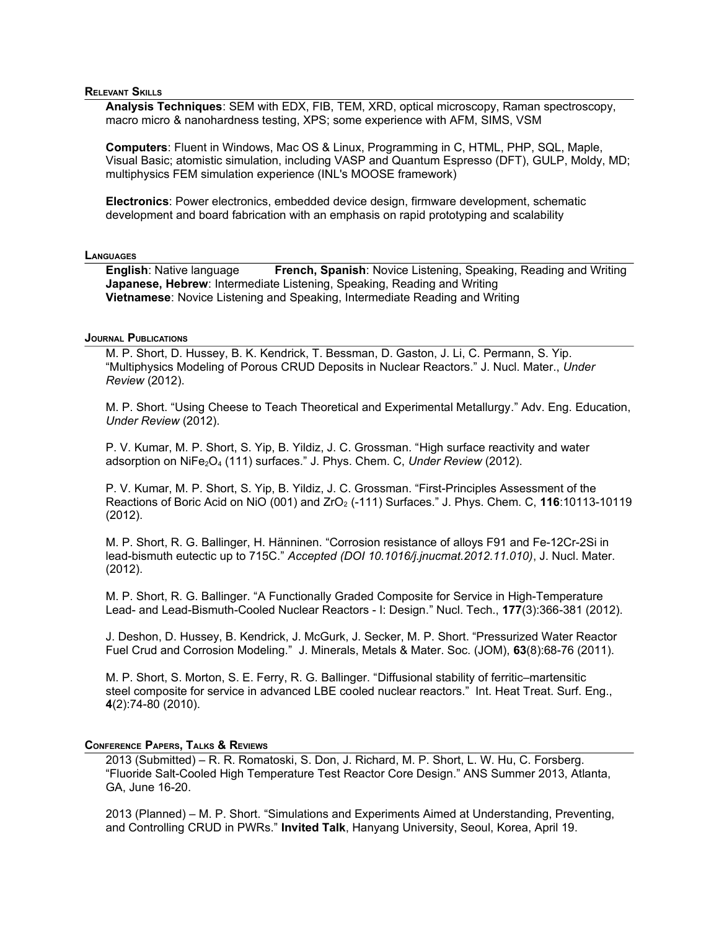## **RELEVANT SKILLS**

**Analysis Techniques**: SEM with EDX, FIB, TEM, XRD, optical microscopy, Raman spectroscopy, macro micro & nanohardness testing, XPS; some experience with AFM, SIMS, VSM

**Computers**: Fluent in Windows, Mac OS & Linux, Programming in C, HTML, PHP, SQL, Maple, Visual Basic; atomistic simulation, including VASP and Quantum Espresso (DFT), GULP, Moldy, MD; multiphysics FEM simulation experience (INL's MOOSE framework)

**Electronics**: Power electronics, embedded device design, firmware development, schematic development and board fabrication with an emphasis on rapid prototyping and scalability

#### **LANGUAGES**

**English**: Native language **French, Spanish**: Novice Listening, Speaking, Reading and Writing **Japanese, Hebrew**: Intermediate Listening, Speaking, Reading and Writing **Vietnamese**: Novice Listening and Speaking, Intermediate Reading and Writing

# **JOURNAL PUBLICATIONS**

M. P. Short, D. Hussey, B. K. Kendrick, T. Bessman, D. Gaston, J. Li, C. Permann, S. Yip. "Multiphysics Modeling of Porous CRUD Deposits in Nuclear Reactors." J. Nucl. Mater., *Under Review* (2012).

M. P. Short. "Using Cheese to Teach Theoretical and Experimental Metallurgy." Adv. Eng. Education, *Under Review* (2012).

P. V. Kumar, M. P. Short, S. Yip, B. Yildiz, J. C. Grossman. "High surface reactivity and water adsorption on NiFe<sub>2</sub>O<sub>4</sub> (111) surfaces." J. Phys. Chem. C, Under Review (2012).

P. V. Kumar, M. P. Short, S. Yip, B. Yildiz, J. C. Grossman. "First-Principles Assessment of the Reactions of Boric Acid on NiO (001) and ZrO<sub>2</sub> (-111) Surfaces." J. Phys. Chem. C, **116**:10113-10119 (2012).

M. P. Short, R. G. Ballinger, H. Hänninen. "Corrosion resistance of alloys F91 and Fe-12Cr-2Si in lead-bismuth eutectic up to 715C." *Accepted (DOI 10.1016/j.jnucmat.2012.11.010)*, J. Nucl. Mater. (2012).

M. P. Short, R. G. Ballinger. "A Functionally Graded Composite for Service in High-Temperature Lead- and Lead-Bismuth-Cooled Nuclear Reactors - I: Design." Nucl. Tech., **177**(3):366-381 (2012).

J. Deshon, D. Hussey, B. Kendrick, J. McGurk, J. Secker, M. P. Short. "Pressurized Water Reactor Fuel Crud and Corrosion Modeling." J. Minerals, Metals & Mater. Soc. (JOM), **63**(8):68-76 (2011).

M. P. Short, S. Morton, S. E. Ferry, R. G. Ballinger. "Diffusional stability of ferritic–martensitic steel composite for service in advanced LBE cooled nuclear reactors." Int. Heat Treat. Surf. Eng., **4**(2):74-80 (2010).

#### **CONFERENCE PAPERS, TALKS & REVIEWS**

2013 (Submitted) – R. R. Romatoski, S. Don, J. Richard, M. P. Short, L. W. Hu, C. Forsberg. "Fluoride Salt-Cooled High Temperature Test Reactor Core Design." ANS Summer 2013, Atlanta, GA, June 16-20.

2013 (Planned) – M. P. Short. "Simulations and Experiments Aimed at Understanding, Preventing, and Controlling CRUD in PWRs." **Invited Talk**, Hanyang University, Seoul, Korea, April 19.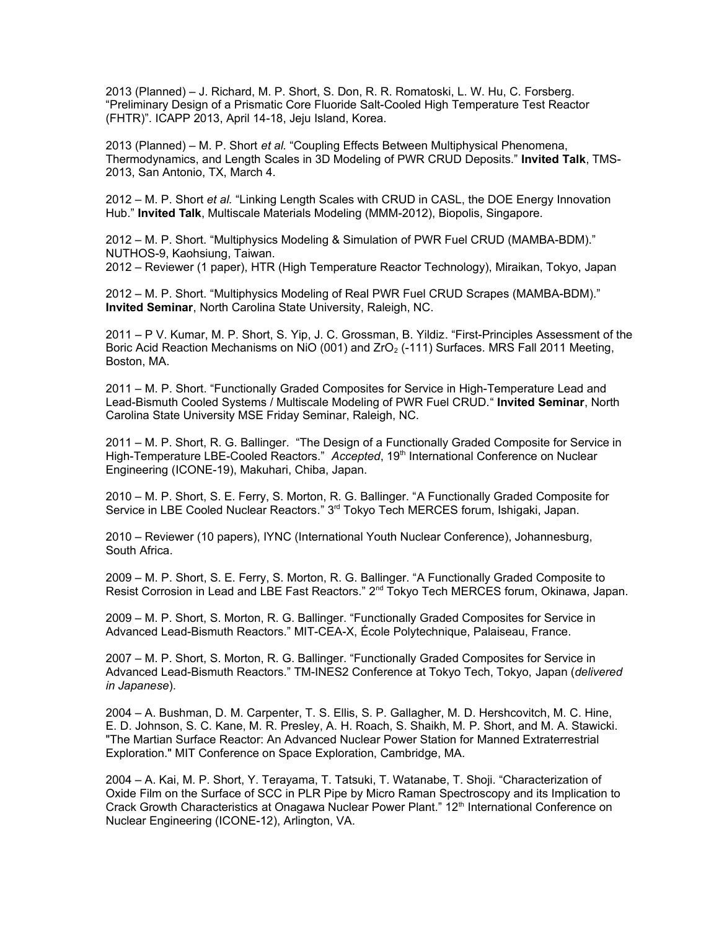2013 (Planned) – J. Richard, M. P. Short, S. Don, R. R. Romatoski, L. W. Hu, C. Forsberg. "Preliminary Design of a Prismatic Core Fluoride Salt-Cooled High Temperature Test Reactor (FHTR)". ICAPP 2013, April 14-18, Jeju Island, Korea.

2013 (Planned) – M. P. Short *et al.* "Coupling Effects Between Multiphysical Phenomena, Thermodynamics, and Length Scales in 3D Modeling of PWR CRUD Deposits." **Invited Talk**, TMS-2013, San Antonio, TX, March 4.

2012 – M. P. Short *et al.* "Linking Length Scales with CRUD in CASL, the DOE Energy Innovation Hub." **Invited Talk**, Multiscale Materials Modeling (MMM-2012), Biopolis, Singapore.

2012 – M. P. Short. "Multiphysics Modeling & Simulation of PWR Fuel CRUD (MAMBA-BDM)." NUTHOS-9, Kaohsiung, Taiwan.

2012 – Reviewer (1 paper), HTR (High Temperature Reactor Technology), Miraikan, Tokyo, Japan

2012 – M. P. Short. "Multiphysics Modeling of Real PWR Fuel CRUD Scrapes (MAMBA-BDM)." **Invited Seminar**, North Carolina State University, Raleigh, NC.

2011 – P V. Kumar, M. P. Short, S. Yip, J. C. Grossman, B. Yildiz. "First-Principles Assessment of the Boric Acid Reaction Mechanisms on NiO (001) and  $ZrO<sub>2</sub>$  (-111) Surfaces. MRS Fall 2011 Meeting, Boston, MA.

2011 – M. P. Short. "Functionally Graded Composites for Service in High-Temperature Lead and Lead-Bismuth Cooled Systems / Multiscale Modeling of PWR Fuel CRUD." **Invited Seminar**, North Carolina State University MSE Friday Seminar, Raleigh, NC.

2011 – M. P. Short, R. G. Ballinger. "The Design of a Functionally Graded Composite for Service in High-Temperature LBE-Cooled Reactors." *Accepted*, 19<sup>th</sup> International Conference on Nuclear Engineering (ICONE-19), Makuhari, Chiba, Japan.

2010 – M. P. Short, S. E. Ferry, S. Morton, R. G. Ballinger. "A Functionally Graded Composite for Service in LBE Cooled Nuclear Reactors." 3<sup>rd</sup> Tokyo Tech MERCES forum, Ishigaki, Japan.

2010 – Reviewer (10 papers), IYNC (International Youth Nuclear Conference), Johannesburg, South Africa.

2009 – M. P. Short, S. E. Ferry, S. Morton, R. G. Ballinger. "A Functionally Graded Composite to Resist Corrosion in Lead and LBE Fast Reactors." 2<sup>nd</sup> Tokyo Tech MERCES forum, Okinawa, Japan.

2009 – M. P. Short, S. Morton, R. G. Ballinger. "Functionally Graded Composites for Service in Advanced Lead-Bismuth Reactors." MIT-CEA-X, École Polytechnique, Palaiseau, France.

2007 – M. P. Short, S. Morton, R. G. Ballinger. "Functionally Graded Composites for Service in Advanced Lead-Bismuth Reactors." TM-INES2 Conference at Tokyo Tech, Tokyo, Japan (*delivered in Japanese*).

2004 – A. Bushman, D. M. Carpenter, T. S. Ellis, S. P. Gallagher, M. D. Hershcovitch, M. C. Hine, E. D. Johnson, S. C. Kane, M. R. Presley, A. H. Roach, S. Shaikh, M. P. Short, and M. A. Stawicki. "The Martian Surface Reactor: An Advanced Nuclear Power Station for Manned Extraterrestrial Exploration." MIT Conference on Space Exploration, Cambridge, MA.

2004 – A. Kai, M. P. Short, Y. Terayama, T. Tatsuki, T. Watanabe, T. Shoji. "Characterization of Oxide Film on the Surface of SCC in PLR Pipe by Micro Raman Spectroscopy and its Implication to Crack Growth Characteristics at Onagawa Nuclear Power Plant." 12<sup>th</sup> International Conference on Nuclear Engineering (ICONE-12), Arlington, VA.